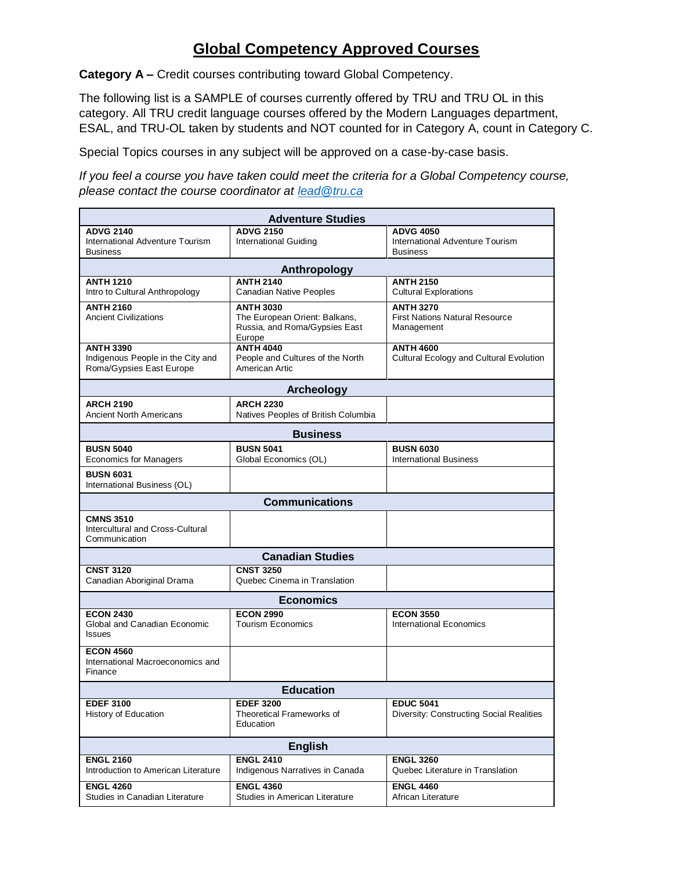## **Global Competency Approved Courses**

**Category A –** Credit courses contributing toward Global Competency.

The following list is a SAMPLE of courses currently offered by TRU and TRU OL in this category. All TRU credit language courses offered by the Modern Languages department, ESAL, and TRU-OL taken by students and NOT counted for in Category A, count in Category C.

Special Topics courses in any subject will be approved on a case-by-case basis.

*If you feel a course you have taken could meet the criteria for a Global Competency course, please contact the course coordinator at [lead@tru.ca](mailto:lead@tru.ca)*

| <b>Adventure Studies</b>                                                          |                                                                                              |                                                                         |  |  |
|-----------------------------------------------------------------------------------|----------------------------------------------------------------------------------------------|-------------------------------------------------------------------------|--|--|
| <b>ADVG 2140</b><br>International Adventure Tourism<br><b>Business</b>            | <b>ADVG 2150</b><br><b>International Guiding</b>                                             | <b>ADVG 4050</b><br>International Adventure Tourism<br><b>Business</b>  |  |  |
| Anthropology                                                                      |                                                                                              |                                                                         |  |  |
| <b>ANTH 1210</b><br>Intro to Cultural Anthropology                                | <b>ANTH 2140</b><br><b>Canadian Native Peoples</b>                                           | <b>ANTH 2150</b><br><b>Cultural Explorations</b>                        |  |  |
| <b>ANTH 2160</b><br><b>Ancient Civilizations</b>                                  | <b>ANTH 3030</b><br>The European Orient: Balkans,<br>Russia, and Roma/Gypsies East<br>Europe | <b>ANTH 3270</b><br><b>First Nations Natural Resource</b><br>Management |  |  |
| <b>ANTH 3390</b><br>Indigenous People in the City and<br>Roma/Gypsies East Europe | <b>ANTH 4040</b><br>People and Cultures of the North<br>American Artic                       | <b>ANTH 4600</b><br>Cultural Ecology and Cultural Evolution             |  |  |
|                                                                                   | <b>Archeology</b>                                                                            |                                                                         |  |  |
| <b>ARCH 2190</b><br><b>Ancient North Americans</b>                                | <b>ARCH 2230</b><br>Natives Peoples of British Columbia                                      |                                                                         |  |  |
| <b>Business</b>                                                                   |                                                                                              |                                                                         |  |  |
| <b>BUSN 5040</b><br><b>Economics for Managers</b>                                 | <b>BUSN 5041</b><br>Global Economics (OL)                                                    | <b>BUSN 6030</b><br><b>International Business</b>                       |  |  |
| <b>BUSN 6031</b><br>International Business (OL)                                   |                                                                                              |                                                                         |  |  |
| <b>Communications</b>                                                             |                                                                                              |                                                                         |  |  |
| <b>CMNS 3510</b><br>Intercultural and Cross-Cultural<br>Communication             |                                                                                              |                                                                         |  |  |
| <b>Canadian Studies</b>                                                           |                                                                                              |                                                                         |  |  |
| <b>CNST 3120</b><br>Canadian Aboriginal Drama                                     | <b>CNST 3250</b><br>Quebec Cinema in Translation                                             |                                                                         |  |  |
| <b>Economics</b>                                                                  |                                                                                              |                                                                         |  |  |
| <b>ECON 2430</b><br>Global and Canadian Economic<br><b>Issues</b>                 | <b>ECON 2990</b><br><b>Tourism Economics</b>                                                 | <b>ECON 3550</b><br>International Economics                             |  |  |
| <b>ECON 4560</b><br>International Macroeconomics and<br>Finance                   |                                                                                              |                                                                         |  |  |
| <b>Education</b>                                                                  |                                                                                              |                                                                         |  |  |
| <b>EDEF 3100</b><br>History of Education                                          | <b>EDEF 3200</b><br>Theoretical Frameworks of<br>Education                                   | <b>EDUC 5041</b><br><b>Diversity: Constructing Social Realities</b>     |  |  |
| <b>English</b>                                                                    |                                                                                              |                                                                         |  |  |
| <b>ENGL 2160</b><br>Introduction to American Literature                           | <b>ENGL 2410</b><br>Indigenous Narratives in Canada                                          | <b>ENGL 3260</b><br>Quebec Literature in Translation                    |  |  |
| <b>ENGL 4260</b><br>Studies in Canadian Literature                                | <b>ENGL 4360</b><br>Studies in American Literature                                           | <b>ENGL 4460</b><br>African Literature                                  |  |  |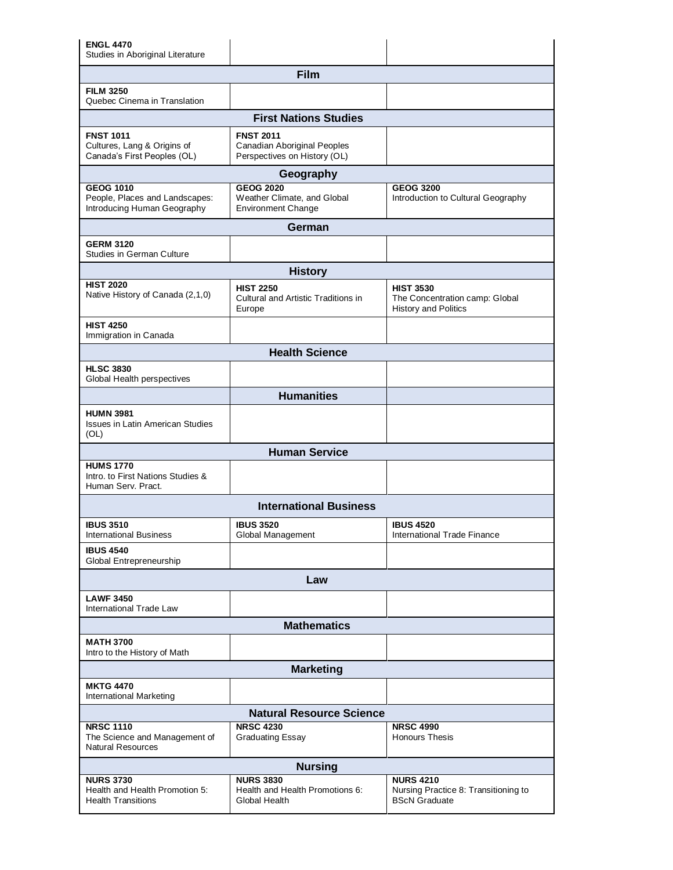| <b>ENGL 4470</b><br>Studies in Aboriginal Literature                              |                                                                                        |                                                                                   |  |  |
|-----------------------------------------------------------------------------------|----------------------------------------------------------------------------------------|-----------------------------------------------------------------------------------|--|--|
| Film                                                                              |                                                                                        |                                                                                   |  |  |
| <b>FILM 3250</b><br>Quebec Cinema in Translation                                  |                                                                                        |                                                                                   |  |  |
| <b>First Nations Studies</b>                                                      |                                                                                        |                                                                                   |  |  |
| <b>FNST 1011</b><br>Cultures, Lang & Origins of<br>Canada's First Peoples (OL)    | <b>FNST 2011</b><br><b>Canadian Aboriginal Peoples</b><br>Perspectives on History (OL) |                                                                                   |  |  |
|                                                                                   | Geography                                                                              |                                                                                   |  |  |
| <b>GEOG 1010</b><br>People, Places and Landscapes:<br>Introducing Human Geography | <b>GEOG 2020</b><br>Weather Climate, and Global<br><b>Environment Change</b>           | <b>GEOG 3200</b><br>Introduction to Cultural Geography                            |  |  |
|                                                                                   | German                                                                                 |                                                                                   |  |  |
| <b>GERM 3120</b><br><b>Studies in German Culture</b>                              |                                                                                        |                                                                                   |  |  |
|                                                                                   | <b>History</b>                                                                         |                                                                                   |  |  |
| <b>HIST 2020</b><br>Native History of Canada (2,1,0)                              | <b>HIST 2250</b><br>Cultural and Artistic Traditions in<br>Europe                      | <b>HIST 3530</b><br>The Concentration camp: Global<br><b>History and Politics</b> |  |  |
| <b>HIST 4250</b><br>Immigration in Canada                                         |                                                                                        |                                                                                   |  |  |
|                                                                                   | <b>Health Science</b>                                                                  |                                                                                   |  |  |
| <b>HLSC 3830</b><br>Global Health perspectives                                    |                                                                                        |                                                                                   |  |  |
|                                                                                   | <b>Humanities</b>                                                                      |                                                                                   |  |  |
| <b>HUMN 3981</b><br><b>Issues in Latin American Studies</b><br>(OL)               |                                                                                        |                                                                                   |  |  |
|                                                                                   | <b>Human Service</b>                                                                   |                                                                                   |  |  |
| <b>HUMS 1770</b><br>Intro, to First Nations Studies &<br>Human Serv. Pract.       |                                                                                        |                                                                                   |  |  |
|                                                                                   | <b>International Business</b>                                                          |                                                                                   |  |  |
| <b>IBUS 3510</b><br><b>International Business</b>                                 | <b>IBUS 3520</b><br>Global Management                                                  | <b>IBUS 4520</b><br><b>International Trade Finance</b>                            |  |  |
| <b>IBUS 4540</b><br>Global Entrepreneurship                                       |                                                                                        |                                                                                   |  |  |
| Law                                                                               |                                                                                        |                                                                                   |  |  |
| <b>LAWF 3450</b><br>International Trade Law                                       |                                                                                        |                                                                                   |  |  |
| <b>Mathematics</b>                                                                |                                                                                        |                                                                                   |  |  |
| <b>MATH 3700</b><br>Intro to the History of Math                                  |                                                                                        |                                                                                   |  |  |
| <b>Marketing</b>                                                                  |                                                                                        |                                                                                   |  |  |
| <b>MKTG 4470</b><br><b>International Marketing</b>                                |                                                                                        |                                                                                   |  |  |
| <b>Natural Resource Science</b>                                                   |                                                                                        |                                                                                   |  |  |
| <b>NRSC 1110</b><br>The Science and Management of<br><b>Natural Resources</b>     | <b>NRSC 4230</b><br><b>Graduating Essay</b>                                            | <b>NRSC 4990</b><br><b>Honours Thesis</b>                                         |  |  |
| <b>Nursing</b>                                                                    |                                                                                        |                                                                                   |  |  |
| <b>NURS 3730</b><br>Health and Health Promotion 5:<br><b>Health Transitions</b>   | <b>NURS 3830</b><br>Health and Health Promotions 6:<br>Global Health                   | <b>NURS 4210</b><br>Nursing Practice 8: Transitioning to<br><b>BScN Graduate</b>  |  |  |